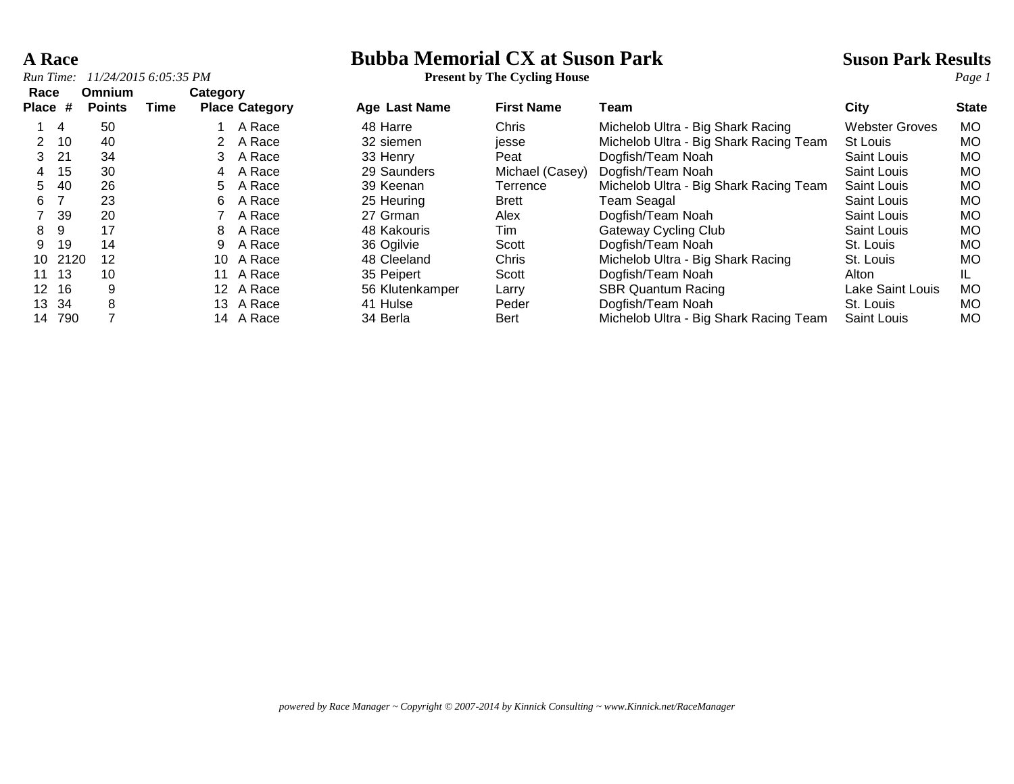### **A Race Bubba Memorial CX at Suson Park Suson Park Results**

| Run Time:       |       | 11/24/2015 6:05:35 PM   |      |                 |                       | <b>Present by The Cycling House</b> |                   |                                        | Page 1                |              |
|-----------------|-------|-------------------------|------|-----------------|-----------------------|-------------------------------------|-------------------|----------------------------------------|-----------------------|--------------|
| Race<br>Place # |       | Omnium<br><b>Points</b> | Time | Category        | <b>Place Category</b> | <b>Age Last Name</b>                | <b>First Name</b> | Team                                   | City                  | <b>State</b> |
|                 | -4    | 50                      |      |                 | A Race                | 48 Harre                            | Chris             | Michelob Ultra - Big Shark Racing      | <b>Webster Groves</b> | MO.          |
|                 | 10    | 40                      |      |                 | A Race                | 32 siemen                           | jesse             | Michelob Ultra - Big Shark Racing Team | <b>St Louis</b>       | MO.          |
| 3.              | 21    | 34                      |      | 3               | A Race                | 33 Henry                            | Peat              | Dogfish/Team Noah                      | Saint Louis           | MO.          |
| 4               | 15    | 30                      |      | 4               | A Race                | 29 Saunders                         | Michael (Casey)   | Dogfish/Team Noah                      | Saint Louis           | MO.          |
| 5.              | -40   | 26                      |      | 5               | A Race                | 39 Keenan                           | Terrence          | Michelob Ultra - Big Shark Racing Team | Saint Louis           | MO.          |
| 6               |       | 23                      |      | 6               | A Race                | 25 Heuring                          | <b>Brett</b>      | Team Seagal                            | Saint Louis           | MO.          |
|                 | 39    | 20                      |      |                 | A Race                | 27 Grman                            | Alex              | Dogfish/Team Noah                      | Saint Louis           | MO.          |
| 8               | 9     | 17                      |      | 8               | A Race                | 48 Kakouris                         | Tim               | Gateway Cycling Club                   | Saint Louis           | МO           |
| 9               | 19    | 14                      |      | 9               | A Race                | 36 Ogilvie                          | Scott             | Dogfish/Team Noah                      | St. Louis             | МO           |
| 10              | 2120  | 12                      |      | 10              | A Race                | 48 Cleeland                         | Chris             | Michelob Ultra - Big Shark Racing      | St. Louis             | MO.          |
|                 | 11 13 | 10                      |      | 11              | A Race                | 35 Peipert                          | Scott             | Dogfish/Team Noah                      | Alton                 | IL.          |
| 12 <sup>7</sup> | 16    | 9                       |      | 12 <sup>1</sup> | A Race                | 56 Klutenkamper                     | Larry             | <b>SBR Quantum Racing</b>              | Lake Saint Louis      | MO.          |
| 13.             | 34    | 8                       |      | 13.             | A Race                | 41 Hulse                            | Peder             | Dogfish/Team Noah                      | St. Louis             | MO.          |
| 14              | 790   |                         |      |                 | 14 A Race             | 34 Berla                            | Bert              | Michelob Ultra - Big Shark Racing Team | Saint Louis           | MO.          |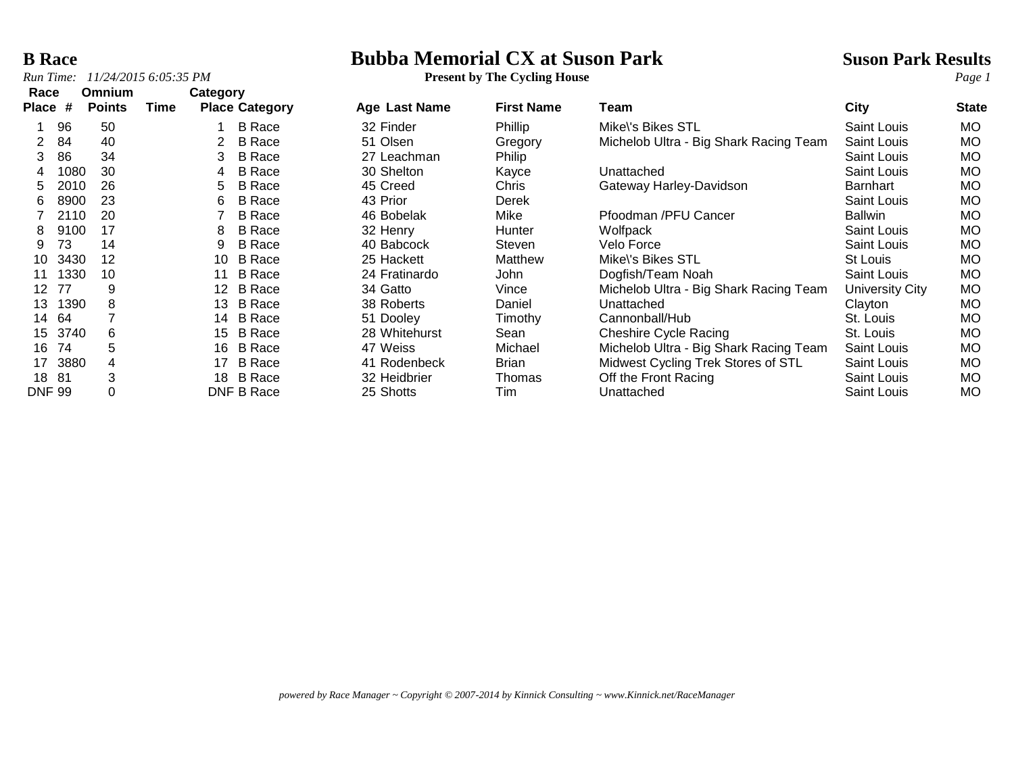### *Run Time:*  $11/24/20156:05:35 PM$

**B Race**<br> **Bubba Memorial CX at Suson Park**<br> **Bubba Memorial CX at Suson Park**<br> **Present by The Cycling House**<br> **Park Results**<br> **Page 1** 

| Race          |      | <b>Omnium</b> |      | Category |                       |               |                   |                                        |                    |              |
|---------------|------|---------------|------|----------|-----------------------|---------------|-------------------|----------------------------------------|--------------------|--------------|
| <b>Place</b>  | #    | <b>Points</b> | Time |          | <b>Place Category</b> | Age Last Name | <b>First Name</b> | Team                                   | City               | <b>State</b> |
|               | 96   | 50            |      |          | <b>B</b> Race         | 32 Finder     | Phillip           | Mike\'s Bikes STL                      | <b>Saint Louis</b> | <b>MO</b>    |
|               | 84   | 40            |      |          | <b>B</b> Race         | 51 Olsen      | Gregory           | Michelob Ultra - Big Shark Racing Team | Saint Louis        | <b>MO</b>    |
| 3             | 86   | 34            |      | 3        | <b>B</b> Race         | 27 Leachman   | Philip            |                                        | Saint Louis        | МO           |
| 4             | 1080 | 30            |      | 4        | <b>B</b> Race         | 30 Shelton    | Kayce             | Unattached                             | <b>Saint Louis</b> | <b>MO</b>    |
| 5             | 2010 | 26            |      | 5        | <b>B</b> Race         | 45 Creed      | Chris             | Gateway Harley-Davidson                | Barnhart           | МO           |
| 6             | 8900 | 23            |      | 6        | <b>B</b> Race         | 43 Prior      | Derek             |                                        | <b>Saint Louis</b> | <b>MO</b>    |
|               | 2110 | 20            |      |          | <b>B</b> Race         | 46 Bobelak    | Mike              | Pfoodman /PFU Cancer                   | <b>Ballwin</b>     | МO           |
| 8             | 9100 | 17            |      | 8        | <b>B</b> Race         | 32 Henry      | <b>Hunter</b>     | Wolfpack                               | <b>Saint Louis</b> | <b>MO</b>    |
| 9             | 73   | 14            |      | 9        | <b>B</b> Race         | 40 Babcock    | Steven            | Velo Force                             | <b>Saint Louis</b> | МO           |
| 10            | 3430 | 12            |      | 10       | <b>B</b> Race         | 25 Hackett    | Matthew           | Mike\'s Bikes STL                      | St Louis           | МO           |
| 11            | 1330 | 10            |      | 11       | <b>B</b> Race         | 24 Fratinardo | John              | Dogfish/Team Noah                      | <b>Saint Louis</b> | МO           |
| 12            | 77   | 9             |      | $12 \,$  | <b>B</b> Race         | 34 Gatto      | Vince             | Michelob Ultra - Big Shark Racing Team | University City    | <b>MO</b>    |
| 13            | 1390 | 8             |      | 13       | <b>B</b> Race         | 38 Roberts    | Daniel            | Unattached                             | Clayton            | МO           |
| 14            | 64   |               |      | 14       | <b>B</b> Race         | 51 Dooley     | Timothy           | Cannonball/Hub                         | St. Louis          | МO           |
| 15            | 3740 | 6             |      | 15       | <b>B</b> Race         | 28 Whitehurst | Sean              | <b>Cheshire Cycle Racing</b>           | St. Louis          | МO           |
| 16            | 74   | 5             |      | 16       | <b>B</b> Race         | 47 Weiss      | Michael           | Michelob Ultra - Big Shark Racing Team | Saint Louis        | МO           |
| 17            | 3880 | 4             |      | 17       | <b>B</b> Race         | 41 Rodenbeck  | <b>Brian</b>      | Midwest Cycling Trek Stores of STL     | <b>Saint Louis</b> | МO           |
| 18            | 81   | 3             |      | 18       | <b>B</b> Race         | 32 Heidbrier  | Thomas            | Off the Front Racing                   | Saint Louis        | МO           |
| <b>DNF 99</b> |      | 0             |      |          | DNF B Race            | 25 Shotts     | Tim               | Unattached                             | Saint Louis        | МO           |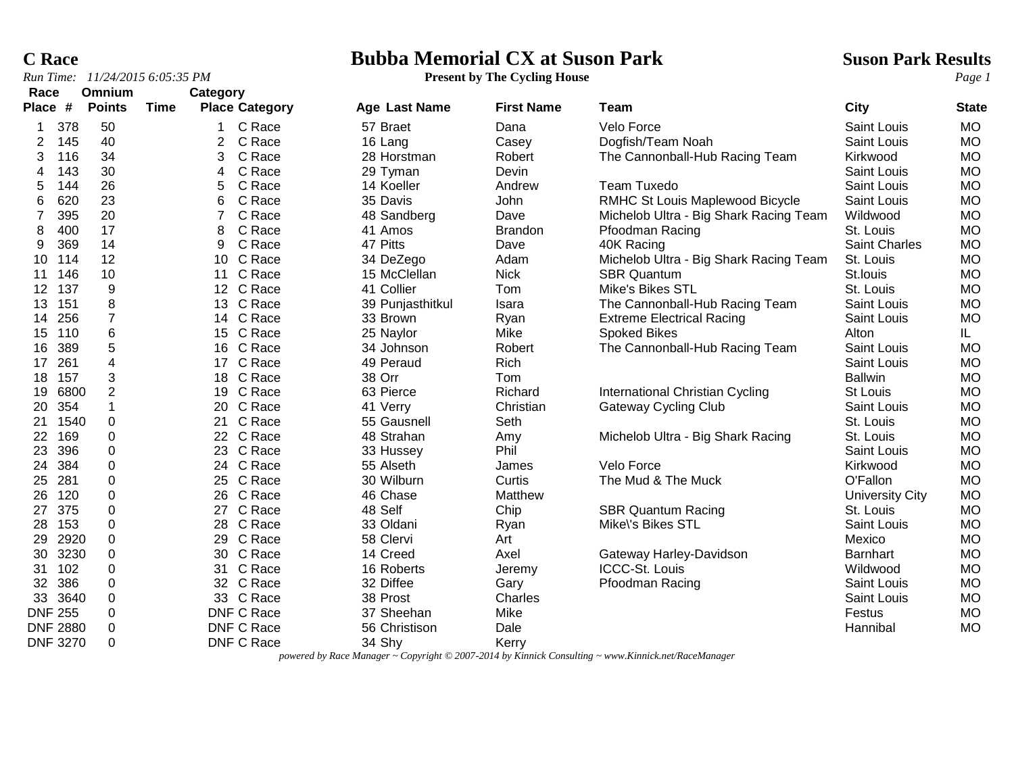### **C Race Bubba Memorial CX at Suson Park Suson Park Results**

| Run Time: |      | 11/24/2015 6:05:35 PM |      |          |                       | <b>Present by The Cycling House</b> |                   |                                        |                    | Page 1       |
|-----------|------|-----------------------|------|----------|-----------------------|-------------------------------------|-------------------|----------------------------------------|--------------------|--------------|
| Race      |      | Omnium                |      | Category |                       |                                     |                   |                                        |                    |              |
| Place     | #    | <b>Points</b>         | Time |          | <b>Place Category</b> | Age Last Name                       | <b>First Name</b> | Team                                   | <b>City</b>        | <b>State</b> |
|           | 378  | 50                    |      |          | C Race                | 57 Braet                            | Dana              | Velo Force                             | <b>Saint Louis</b> | <b>MO</b>    |
|           | 145  | 40                    |      |          | C Race                | 16 Lang                             | Casey             | Dogfish/Team Noah                      | <b>Saint Louis</b> | <b>MO</b>    |
| 3         | 116  | 34                    |      | 3        | C Race                | 28 Horstman                         | Robert            | The Cannonball-Hub Racing Team         | Kirkwood           | <b>MO</b>    |
|           | 143  | 30                    |      | 4        | C Race                | 29 Tyman                            | Devin             |                                        | <b>Saint Louis</b> | <b>MO</b>    |
| 5         | 144  | 26                    |      |          | C Race                | 14 Koeller                          | Andrew            | Team Tuxedo                            | <b>Saint Louis</b> | <b>MO</b>    |
| 6         | 620  | 23                    |      | 6        | C Race                | 35 Davis                            | <b>John</b>       | RMHC St Louis Maplewood Bicycle        | Saint Louis        | MO           |
|           | 395  | 20                    |      |          | C Race                | 48 Sandberg                         | Dave              | Michelob Ultra - Big Shark Racing Team | Wildwood           | MO           |
|           | 400  | 17                    |      |          | C Race                | 41 Amos                             | <b>Brandon</b>    | Pfoodman Racing                        | St. Louis          | <b>MO</b>    |
| 9         | 369  | 14                    |      | 9        | C Race                | 47 Pitts                            | Dave              | 40K Racing                             | Saint Charles      | <b>MO</b>    |
| 10        | 114  | 12                    |      | 10       | C Race                | 34 DeZego                           | Adam              | Michelob Ultra - Big Shark Racing Team | St. Louis          | <b>MO</b>    |
|           | 146  | 10                    |      |          | C Race                | 15 McClellan                        | <b>Nick</b>       | <b>SBR Quantum</b>                     | St.louis           | <b>MO</b>    |
| $12 \,$   | 137  | 9                     |      |          | 12 C Race             | 41 Collier                          | Tom               | Mike's Bikes STL                       | St. Louis          | <b>MO</b>    |
| 13        | 151  | 8                     |      |          | 13 C Race             | 39 Punjasthitkul                    | Isara             | The Cannonball-Hub Racing Team         | <b>Saint Louis</b> | <b>MO</b>    |
| 14        | 256  | $\overline{7}$        |      |          | 14 C Race             | 33 Brown                            | Ryan              | <b>Extreme Electrical Racing</b>       | Saint Louis        | MO           |
| 15        | 110  | 6                     |      |          | 15 C Race             | 25 Naylor                           | Mike              | Spoked Bikes                           | Alton              | IL.          |
| 16        | 389  | 5                     |      | 16       | C Race                | 34 Johnson                          | Robert            | The Cannonball-Hub Racing Team         | Saint Louis        | MO           |
| 17        | 261  | 4                     |      | 17       | C Race                | 49 Peraud                           | Rich              |                                        | <b>Saint Louis</b> | <b>MO</b>    |
| 18        | 157  | 3                     |      | 18       | C Race                | 38 Orr                              | Tom               |                                        | <b>Ballwin</b>     | <b>MO</b>    |
| 19        | 6800 | $\overline{2}$        |      | 19       | C Race                | 63 Pierce                           | Richard           | International Christian Cycling        | St Louis           | <b>MO</b>    |
| 20        | 354  |                       |      | 20       | C Race                | 41 Verry                            | Christian         | <b>Gateway Cycling Club</b>            | <b>Saint Louis</b> | <b>MO</b>    |
|           | 1540 | 0                     |      |          | C Race                | 55 Gausnell                         | Seth              |                                        | St. Louis          | <b>MO</b>    |
| 22        | 169  | 0                     |      |          | 22 C Race             | 48 Strahan                          | Amy               | Michelob Ultra - Big Shark Racing      | St. Louis          | MO           |
| 23        | 396  | 0                     |      | 23       | C Race                | 33 Hussey                           | Phil              |                                        | <b>Saint Louis</b> | <b>MO</b>    |
| 24        | 384  | 0                     |      | 24       | C Race                | 55 Alseth                           | James             | Velo Force                             | Kirkwood           | MO           |
| 25        | 281  | 0                     |      |          | 25 C Race             | 30 Wilburn                          | Curtis            | The Mud & The Muck                     | O'Fallon           | <b>MO</b>    |

*powered by Race Manager ~ Copyright © 2007-2014 by Kinnick Consulting ~ www.Kinnick.net/RaceManager*

DNF 3270 0 DNF C Race 34 Shy Kerry

 120 0 26 C Race 46 Chase Matthew University City MO 27 375 0 27 C Race 48 Self Chip SBR Quantum Racing St. Louis MO 153 0 28 C Race 33 Oldani Ryan Mike\'s Bikes STL Saint Louis MO 2920 0 29 C Race 58 Clervi Art Mexico MO 3230 0 30 C Race 14 Creed Axel Gateway Harley-Davidson Barnhart MO 102 0 31 C Race 16 Roberts Jeremy ICCC-St. Louis Wildwood MO 32 386 0 32 C Race 32 Diffee Gary Pfoodman Racing Saint Louis MO 3640 0 33 C Race 38 Prost Charles Saint Louis MO DNF 255 0 DNF C Race 37 Sheehan Mike Festus MO DNF 2880 0 DNF C Race 56 Christison Dale Hannibal MO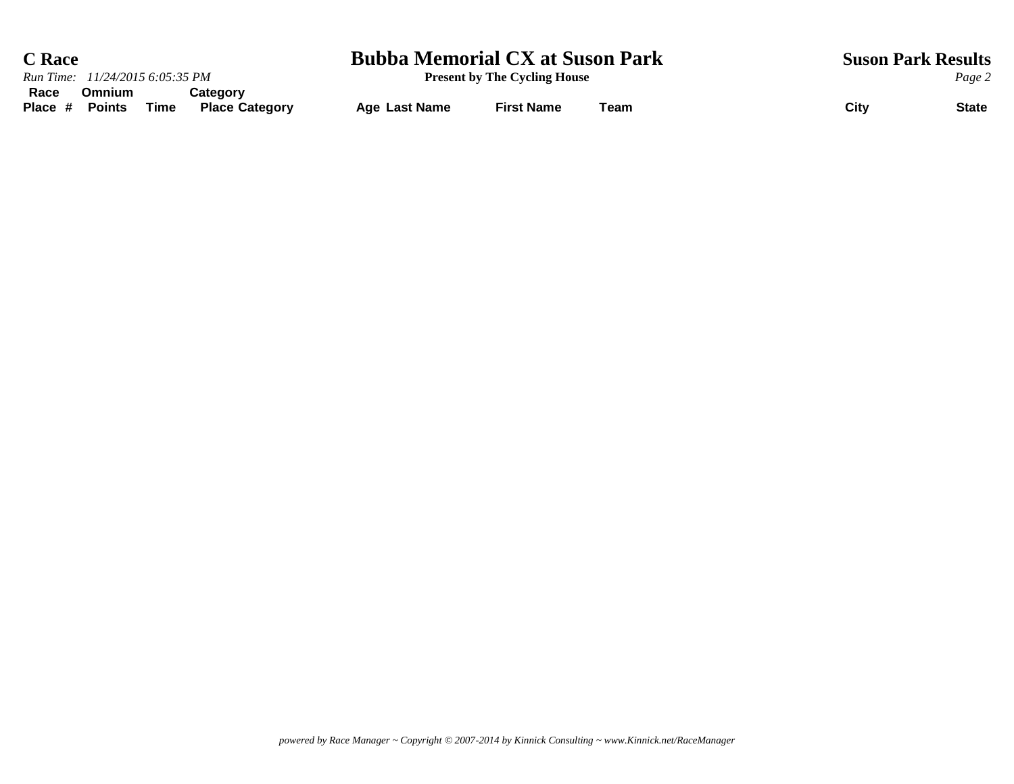| <b>C</b> Race                                                                           | <b>Bubba Memorial CX at Suson Park</b> |                                     | <b>Suson Park Results</b> |                      |
|-----------------------------------------------------------------------------------------|----------------------------------------|-------------------------------------|---------------------------|----------------------|
| Run Time: 11/24/2015 6:05:35 PM                                                         |                                        | <b>Present by The Cycling House</b> |                           | Page 2               |
| Race<br>Omnium<br>Categorv<br>Place #<br><b>Points</b><br>Time<br><b>Place Category</b> | <b>Age Last Name</b>                   | <b>First Name</b>                   | Team                      | City<br><b>State</b> |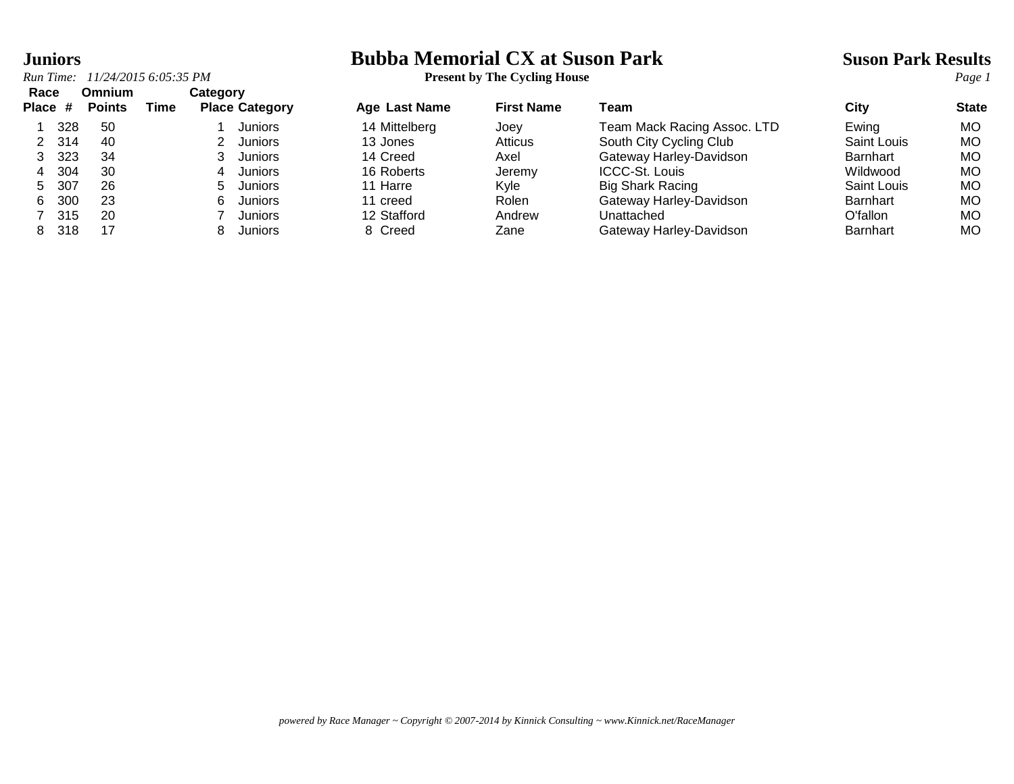*Run Time:* 11/24/2015 6:05:35 *PM*<br>**Race Omnium Cate Race Omnium Category**

# **Juniors**<br> **Bubba Memorial CX at Suson Park Suson Park Results**<br> **Present by The Cycling House**<br> **Park Results**<br> **Present by The Cycling House**

| nauc    |     | viililulli    |      | Galegoi y             |                      |                   |                             |                    |              |
|---------|-----|---------------|------|-----------------------|----------------------|-------------------|-----------------------------|--------------------|--------------|
| Place # |     | <b>Points</b> | Time | <b>Place Category</b> | <b>Age Last Name</b> | <b>First Name</b> | Team                        | City               | <b>State</b> |
|         | 328 | 50            |      | Juniors               | 14 Mittelberg        | Joev              | Team Mack Racing Assoc. LTD | Ewing              | МO           |
| 2       | 314 | 40            |      | <b>Juniors</b>        | 13 Jones             | Atticus           | South City Cycling Club     | <b>Saint Louis</b> | МO           |
|         | 323 | 34            |      | Juniors               | 14 Creed             | Axel              | Gateway Harley-Davidson     | <b>Barnhart</b>    | МO           |
|         | 304 | 30            |      | Juniors<br>4          | 16 Roberts           | Jeremy            | ICCC-St. Louis              | Wildwood           | МO           |
| 5.      | 307 | 26            |      | <b>Juniors</b><br>h.  | 11 Harre             | Kvle              | <b>Big Shark Racing</b>     | Saint Louis        | МO           |
| 6.      | 300 | 23            |      | Juniors<br>6.         | 11 creed             | Rolen             | Gateway Harley-Davidson     | <b>Barnhart</b>    | МO           |
|         | 315 | 20            |      | <b>Juniors</b>        | 12 Stafford          | Andrew            | Unattached                  | O'fallon           | МO           |
| 8.      | 318 | 17            |      | <b>Juniors</b>        | 8 Creed              | Zane              | Gateway Harley-Davidson     | <b>Barnhart</b>    | МO           |
|         |     |               |      |                       |                      |                   |                             |                    |              |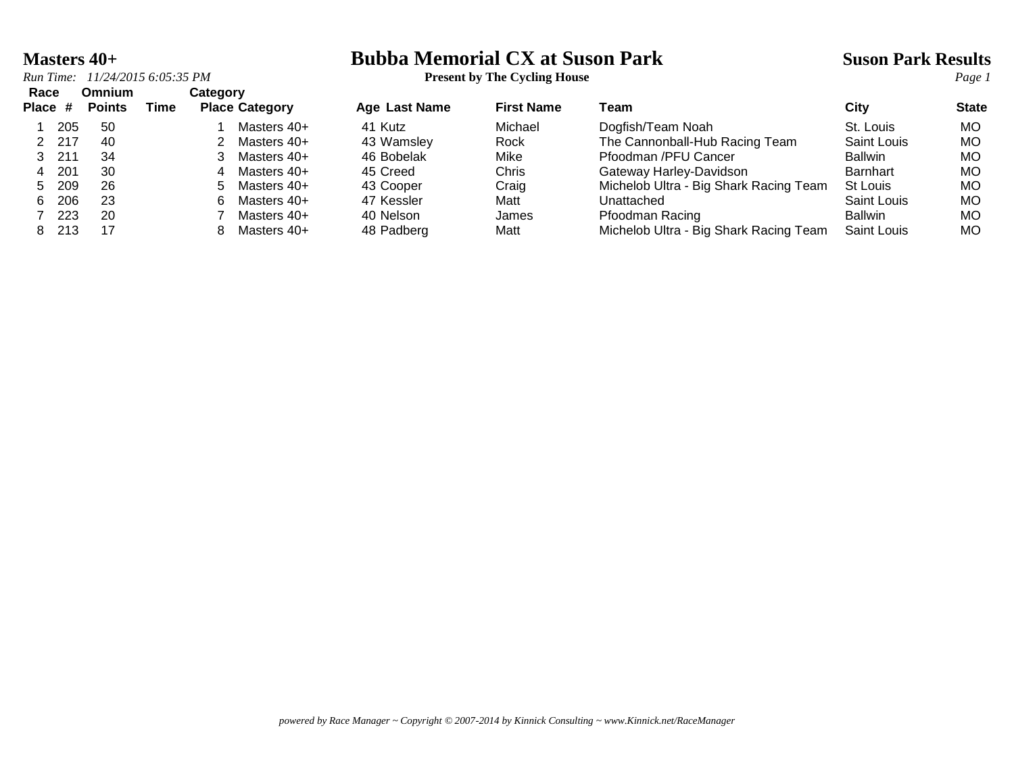*Run Time:*  $11/24/20156:05:35 PM$ 

**Masters 40+**<br> **Bubba Memorial CX at Suson Park**<br> **Present by The Cycling House**<br> **Present by The Cycling House** 

|  |  |  | <b>Present by The Cycling House</b> |  |
|--|--|--|-------------------------------------|--|
|--|--|--|-------------------------------------|--|

| Race<br>Place # |        | <b>Omnium</b><br><b>Points</b> | Time | Category | <b>Place Category</b> | Age Last Name | <b>First Name</b> | Team                                   | City               | <b>State</b> |
|-----------------|--------|--------------------------------|------|----------|-----------------------|---------------|-------------------|----------------------------------------|--------------------|--------------|
|                 | 205    | 50                             |      |          | Masters 40+           | 41 Kutz       | Michael           | Dogfish/Team Noah                      | St. Louis          | МO           |
|                 | 2 217  | 40                             |      |          | Masters 40+           | 43 Wamsley    | Rock              | The Cannonball-Hub Racing Team         | Saint Louis        | МO           |
|                 | 3, 211 | 34                             |      |          | Masters 40+           | 46 Bobelak    | Mike              | Pfoodman /PFU Cancer                   | <b>Ballwin</b>     | МO           |
| 4               | 201    | 30                             |      |          | Masters 40+           | 45 Creed      | Chris             | Gateway Harley-Davidson                | <b>Barnhart</b>    | МO           |
| 5               | 209    | 26                             |      | 5.       | Masters 40+           | 43 Cooper     | Craig             | Michelob Ultra - Big Shark Racing Team | St Louis           | МO           |
| 6.              | 206    | 23                             |      | 6.       | Masters 40+           | 47 Kessler    | Matt              | Unattached                             | Saint Louis        | МO           |
|                 | 223    | 20                             |      |          | Masters 40+           | 40 Nelson     | James             | Pfoodman Racing                        | <b>Ballwin</b>     | МO           |
| 8.              | 213    | 17                             |      |          | Masters 40+           | 48 Padberg    | Matt              | Michelob Ultra - Big Shark Racing Team | <b>Saint Louis</b> | МO           |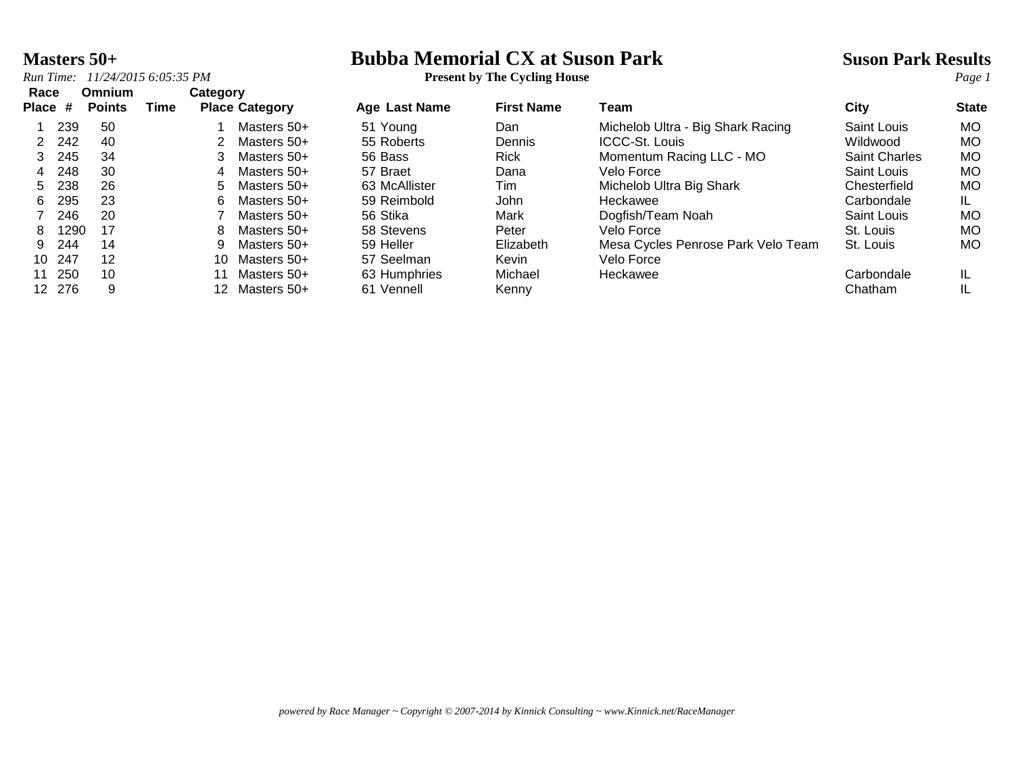*Run Time: 11/24/2015 6:05:35 PM* **Present by The Cycling House** *Page 1*

## **Masters 50+**<br> **Bubba Memorial CX at Suson Park <br>
Present by The Cycling House**<br> **Park Results**<br>
Present by The Cycling House<br>
Park Results

| Race  |        | Omnium        |      | Category              |             |               |                   |                                    |                      |              |
|-------|--------|---------------|------|-----------------------|-------------|---------------|-------------------|------------------------------------|----------------------|--------------|
| Place | #      | <b>Points</b> | Time | <b>Place Category</b> |             | Age Last Name | <b>First Name</b> | Team                               | City                 | <b>State</b> |
|       | 239    | 50            |      |                       | Masters 50+ | 51 Young      | Dan               | Michelob Ultra - Big Shark Racing  | Saint Louis          | <b>MO</b>    |
| 2     | 242    | 40            |      |                       | Masters 50+ | 55 Roberts    | <b>Dennis</b>     | <b>ICCC-St. Louis</b>              | Wildwood             | <b>MO</b>    |
| 3     | 245    | 34            |      | 3                     | Masters 50+ | 56 Bass       | <b>Rick</b>       | Momentum Racing LLC - MO           | <b>Saint Charles</b> | <b>MO</b>    |
| 4     | 248    | 30            |      | 4                     | Masters 50+ | 57 Braet      | Dana              | Velo Force                         | Saint Louis          | <b>MO</b>    |
| 5     | 238    | 26            |      | 5.                    | Masters 50+ | 63 McAllister | Tim               | Michelob Ultra Big Shark           | Chesterfield         | <b>MO</b>    |
| 6     | 295    | 23            |      | 6.                    | Masters 50+ | 59 Reimbold   | <b>John</b>       | Heckawee                           | Carbondale           | IL           |
|       | 246    | 20            |      |                       | Masters 50+ | 56 Stika      | Mark              | Dogfish/Team Noah                  | Saint Louis          | <b>MO</b>    |
| 8.    | 1290   | 17            |      | 8.                    | Masters 50+ | 58 Stevens    | Peter             | Velo Force                         | St. Louis            | <b>MO</b>    |
| 9.    | 244    | 14            |      | 9                     | Masters 50+ | 59 Heller     | Elizabeth         | Mesa Cycles Penrose Park Velo Team | St. Louis            | MO.          |
|       | 10 247 | 12            |      | 10.                   | Masters 50+ | 57 Seelman    | Kevin             | Velo Force                         |                      |              |
| 11    | 250    | 10            |      |                       | Masters 50+ | 63 Humphries  | Michael           | Heckawee                           | Carbondale           | IL.          |
|       | 12 276 | 9             |      | 12 <sup>1</sup>       | Masters 50+ | 61 Vennell    | Kenny             |                                    | Chatham              | IL           |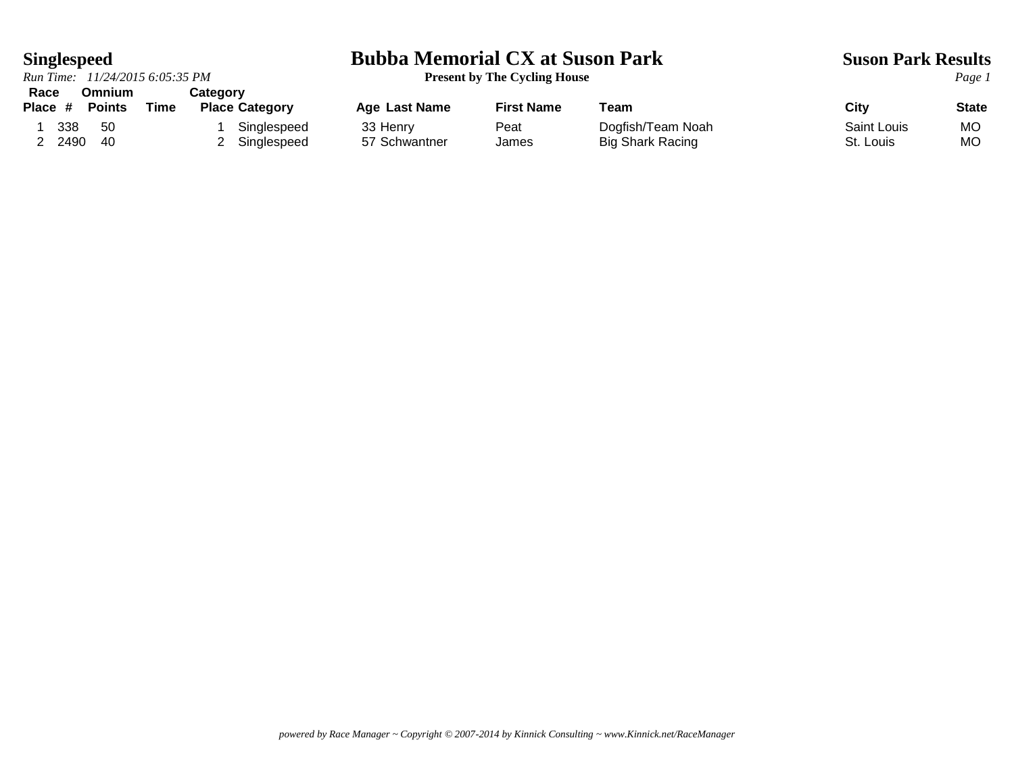*Run Time: 11/24/2015 6:05:35 PM* **Present by The Cycling House** *Page 1* **Race Omnium Category**

## **Singlespeed**<br> **Bubba Memorial CX at Suson Park Suson Park Results**<br> **Present by The Cycling House**<br> **Park Results**<br> **Page 1**

| nauc    |      | UIIIIIIIIIII  |      | ualeyui y             |                      |            |                         |             |              |
|---------|------|---------------|------|-----------------------|----------------------|------------|-------------------------|-------------|--------------|
| Place # |      | <b>Points</b> | Time | <b>Place Category</b> | <b>Age Last Name</b> | First Name | ⊤eam                    | City        | <b>State</b> |
|         | 338  | 50            |      | Singlespeed           | 33 Henry             | Peat       | Dogfish/Team Noah       | Saint Louis | M            |
|         | 2490 | 40            |      | Singlespeed           | 57 Schwantner        | James      | <b>Big Shark Racing</b> | St. Louis   | MC           |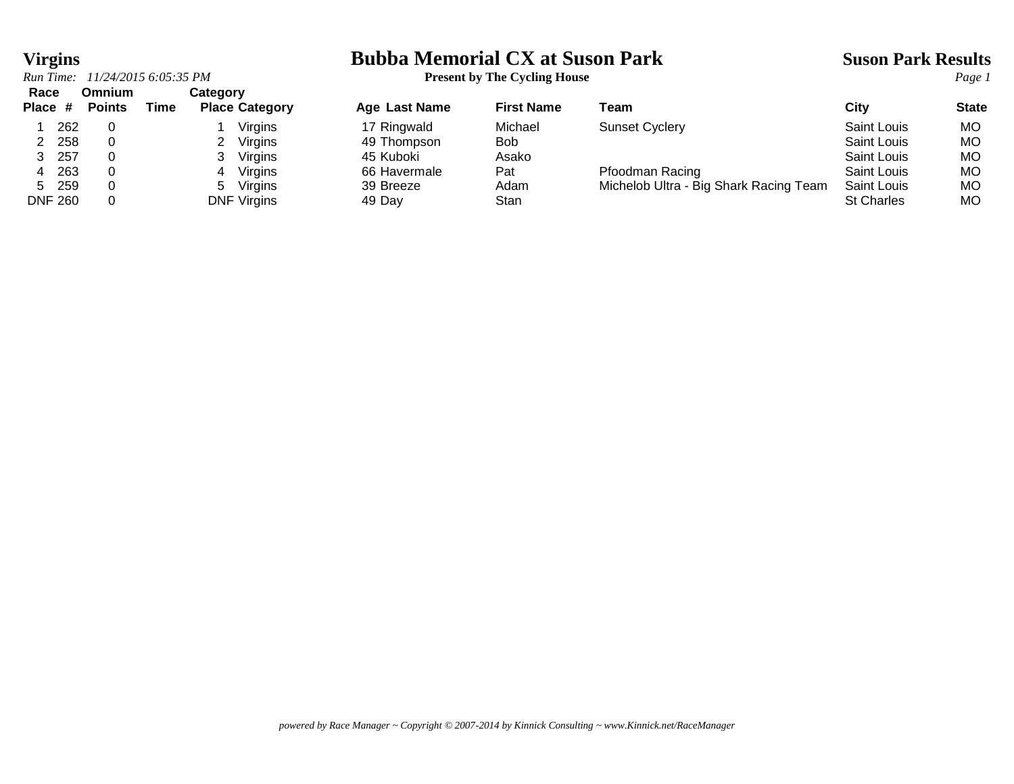## **Virgins**<br> **Bubba Memorial CX at Suson Park Suson Park Results**<br> **Present by The Cycling House**<br> **Park Results**<br> **Page 1**

*Run Time: 11/24/2015 6:05:35 PM* **Present by The Cycling House** *Page 1*

| Race<br>Place # |       | Omnium<br><b>Points</b> | Time | Category | <b>Place Category</b> | Age Last Name | <b>First Name</b> | Team                                   | City               | <b>State</b> |
|-----------------|-------|-------------------------|------|----------|-----------------------|---------------|-------------------|----------------------------------------|--------------------|--------------|
|                 | 262   |                         |      |          | Virgins               | 17 Ringwald   | Michael           | <b>Sunset Cyclery</b>                  | Saint Louis        | <b>MO</b>    |
|                 | 258   |                         |      |          | Virgins               | 49 Thompson   | <b>Bob</b>        |                                        | Saint Louis        | МO           |
|                 | 257   |                         |      |          | Virgins               | 45 Kuboki     | Asako             |                                        | Saint Louis        | МO           |
|                 | 263   |                         |      |          | Virgins               | 66 Havermale  | Pat               | Pfoodman Racing                        | Saint Louis        | МO           |
| 5.              | - 259 |                         |      | 5        | Virgins               | 39 Breeze     | Adam              | Michelob Ultra - Big Shark Racing Team | <b>Saint Louis</b> | МO           |
| <b>DNF 260</b>  |       |                         |      |          | <b>DNF Virgins</b>    | 49 Day        | Stan              |                                        | <b>St Charles</b>  | MO           |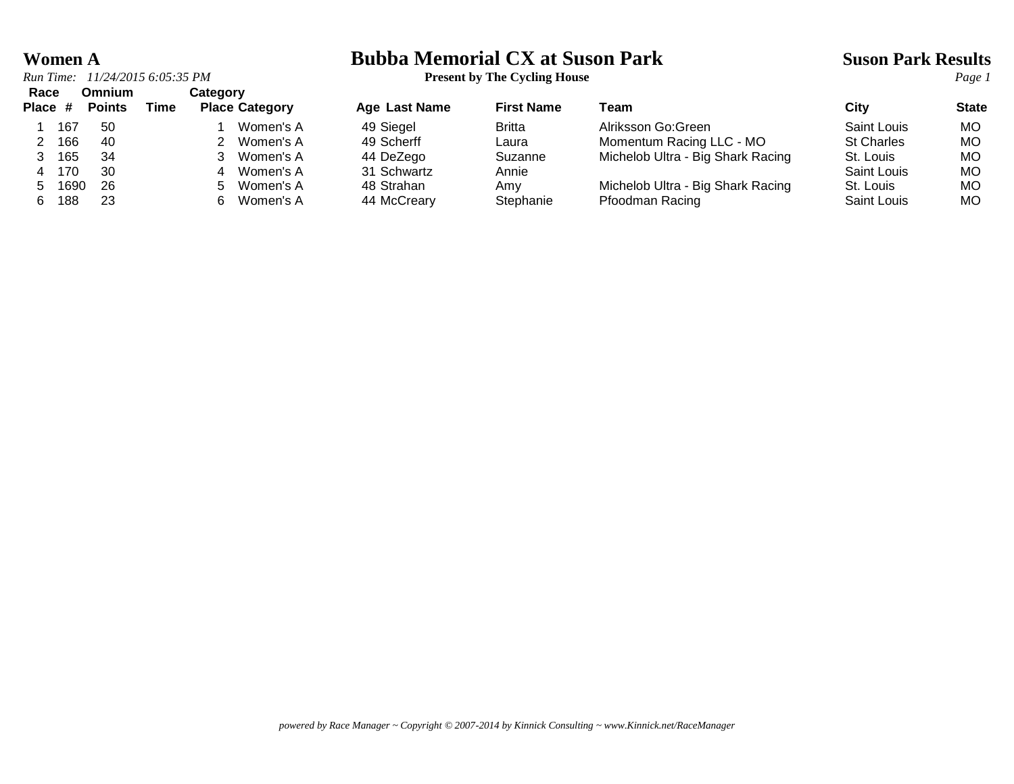*Run Time: 11/24/2015 6:05:35 PM* **Present by The Cycling House** *Page 1* **Race Omnium Category**

|  |        |     |  | . <u>.</u> <i>.</i> |
|--|--------|-----|--|---------------------|
|  | 1 167  | .50 |  | 1 Women's           |
|  | 2 166  | 40  |  | 2 Women's           |
|  | 3 165  | -34 |  | 3 Women's           |
|  | 4 170  | 30  |  | 4 Women's           |
|  | 5 1690 | -26 |  | 5 Women's           |
|  |        |     |  |                     |

## **Women A**<br> **Bubba Memorial CX at Suson Park Suson Park Results**<br> **Present by The Cycling House**<br> **Park Results**<br> **Page 1**

| nauc    |      | viililulli    |      | ualeyui y |                       |               |                   |                                   |                   |              |
|---------|------|---------------|------|-----------|-----------------------|---------------|-------------------|-----------------------------------|-------------------|--------------|
| Place # |      | <b>Points</b> | Time |           | <b>Place Category</b> | Age Last Name | <b>First Name</b> | Team                              | Citv              | <b>State</b> |
|         | 167  | -50           |      |           | Women's A             | 49 Siegel     | <b>Britta</b>     | Alriksson Go:Green                | Saint Louis       | MO.          |
|         | 166  | -40           |      |           | Women's A             | 49 Scherff    | Laura             | Momentum Racing LLC - MO          | <b>St Charles</b> | <b>MO</b>    |
|         | 165  | -34           |      |           | Women's A             | 44 DeZego     | Suzanne           | Michelob Ultra - Big Shark Racing | St. Louis         | МO           |
|         | 170  | 30            |      |           | Women's A             | 31 Schwartz   | Annie             |                                   | Saint Louis       | МO           |
|         | 1690 | -26           |      | $5 -$     | Women's A             | 48 Strahan    | Amv               | Michelob Ultra - Big Shark Racing | St. Louis         | <b>MO</b>    |
|         | 188  | 23            |      |           | Women's A             | 44 McCreary   | Stephanie         | Pfoodman Racing                   | Saint Louis       | MO.          |